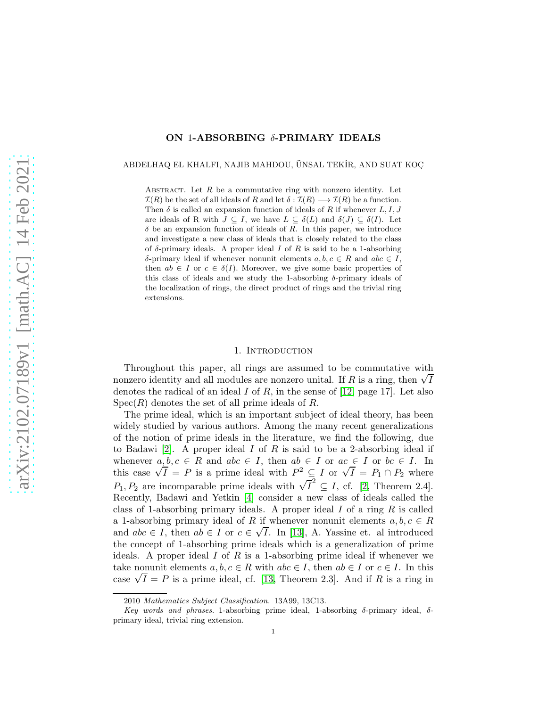## ON 1-ABSORBING δ-PRIMARY IDEALS

ABDELHAQ EL KHALFI, NAJIB MAHDOU, ÜNSAL TEKİR, AND SUAT KOC

ABSTRACT. Let  $R$  be a commutative ring with nonzero identity. Let  $\mathcal{I}(R)$  be the set of all ideals of R and let  $\delta : \mathcal{I}(R) \longrightarrow \mathcal{I}(R)$  be a function. Then  $\delta$  is called an expansion function of ideals of R if whenever L, I, J are ideals of R with  $J \subseteq I$ , we have  $L \subseteq \delta(L)$  and  $\delta(J) \subseteq \delta(I)$ . Let  $\delta$  be an expansion function of ideals of R. In this paper, we introduce and investigate a new class of ideals that is closely related to the class of  $\delta$ -primary ideals. A proper ideal I of R is said to be a 1-absorbing δ-primary ideal if whenever nonunit elements  $a, b, c \in R$  and  $abc \in I$ , then  $ab \in I$  or  $c \in \delta(I)$ . Moreover, we give some basic properties of this class of ideals and we study the 1-absorbing  $\delta$ -primary ideals of the localization of rings, the direct product of rings and the trivial ring extensions.

#### 1. INTRODUCTION

Throughout this paper, all rings are assumed to be commutative with nonzero identity and all modules are nonzero unital. If R is a ring, then  $\sqrt{I}$ denotes the radical of an ideal I of R, in the sense of  $[12, \text{page 17}]$ . Let also  $Spec(R)$  denotes the set of all prime ideals of R.

The prime ideal, which is an important subject of ideal theory, has been widely studied by various authors. Among the many recent generalizations of the notion of prime ideals in the literature, we find the following, due to Badawi [\[2\]](#page-11-1). A proper ideal I of R is said to be a 2-absorbing ideal if whenever  $a, b, c \in R$  and  $abc \in I$ , then  $ab \in I$  or  $ac \in I$  or  $bc \in I$ . In this case  $\sqrt{I} = P$  is a prime ideal with  $P^2 \subseteq I$  or  $\sqrt{I} = P_1 \cap P_2$  where  $P_1, P_2$  are incomparable prime ideals with  $\sqrt{T}^2 \subseteq I$ , cf. [\[2,](#page-11-1) Theorem 2.4]. Recently, Badawi and Yetkin [\[4\]](#page-11-2) consider a new class of ideals called the class of 1-absorbing primary ideals. A proper ideal  $I$  of a ring  $R$  is called a 1-absorbing primary ideal of R if whenever nonunit elements  $a, b, c \in R$ and  $abc \in I$ , then  $ab \in I$  or  $c \in \sqrt{I}$ . In [\[13\]](#page-11-3), A. Yassine et. al introduced the concept of 1-absorbing prime ideals which is a generalization of prime ideals. A proper ideal I of R is a 1-absorbing prime ideal if whenever we take nonunit elements  $a, b, c \in R$  with  $abc \in I$ , then  $ab \in I$  or  $c \in I$ . In this case  $\sqrt{I} = P$  is a prime ideal, cf. [\[13,](#page-11-3) Theorem 2.3]. And if R is a ring in

<sup>2010</sup> Mathematics Subject Classification. 13A99, 13C13.

Key words and phrases. 1-absorbing prime ideal, 1-absorbing  $\delta$ -primary ideal,  $\delta$ primary ideal, trivial ring extension.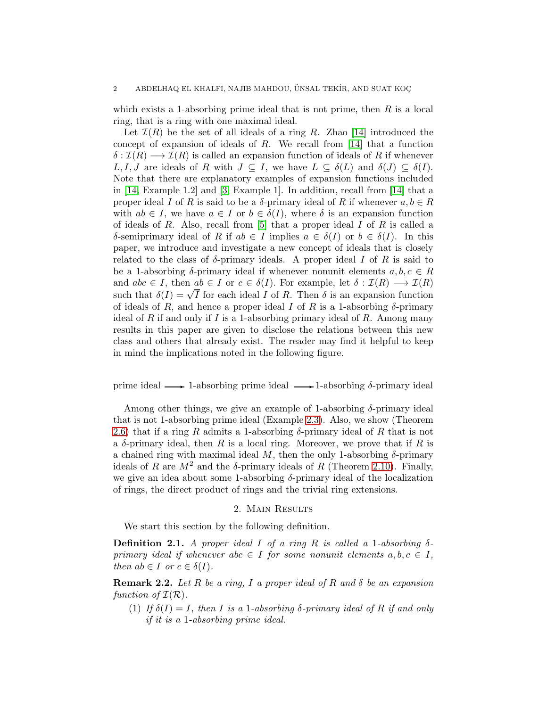which exists a 1-absorbing prime ideal that is not prime, then  $R$  is a local ring, that is a ring with one maximal ideal.

Let  $\mathcal{I}(R)$  be the set of all ideals of a ring R. Zhao [\[14\]](#page-11-4) introduced the concept of expansion of ideals of  $R$ . We recall from [\[14\]](#page-11-4) that a function  $\delta : \mathcal{I}(R) \longrightarrow \mathcal{I}(R)$  is called an expansion function of ideals of R if whenever L, I, J are ideals of R with  $J \subseteq I$ , we have  $L \subseteq \delta(L)$  and  $\delta(J) \subseteq \delta(I)$ . Note that there are explanatory examples of expansion functions included in [\[14,](#page-11-4) Example 1.2] and [\[3,](#page-11-5) Example 1]. In addition, recall from [\[14\]](#page-11-4) that a proper ideal I of R is said to be a  $\delta$ -primary ideal of R if whenever  $a, b \in R$ with  $ab \in I$ , we have  $a \in I$  or  $b \in \delta(I)$ , where  $\delta$  is an expansion function of ideals of R. Also, recall from  $[5]$  that a proper ideal I of R is called a δ-semiprimary ideal of R if  $ab \in I$  implies  $a \in \delta(I)$  or  $b \in \delta(I)$ . In this paper, we introduce and investigate a new concept of ideals that is closely related to the class of  $\delta$ -primary ideals. A proper ideal I of R is said to be a 1-absorbing  $\delta$ -primary ideal if whenever nonunit elements  $a, b, c \in R$ and  $abc \in I$ , then  $ab \in I$  or  $c \in \delta(I)$ . For example, let  $\delta : \mathcal{I}(R) \longrightarrow \mathcal{I}(R)$ such that  $\delta(I) = \sqrt{I}$  for each ideal I of R. Then  $\delta$  is an expansion function of ideals of R, and hence a proper ideal I of R is a 1-absorbing  $\delta$ -primary ideal of R if and only if I is a 1-absorbing primary ideal of R. Among many results in this paper are given to disclose the relations between this new class and others that already exist. The reader may find it helpful to keep in mind the implications noted in the following figure.

prime ideal  $\longrightarrow$  1-absorbing prime ideal  $\longrightarrow$  1-absorbing  $\delta$ -primary ideal

Among other things, we give an example of 1-absorbing  $\delta$ -primary ideal that is not 1-absorbing prime ideal (Example [2.3\)](#page-2-0). Also, we show (Theorem [2.6\)](#page-2-1) that if a ring R admits a 1-absorbing  $\delta$ -primary ideal of R that is not a  $\delta$ -primary ideal, then R is a local ring. Moreover, we prove that if R is a chained ring with maximal ideal M, then the only 1-absorbing  $\delta$ -primary ideals of R are  $M^2$  and the  $\delta$ -primary ideals of R (Theorem [2.10\)](#page-4-0). Finally, we give an idea about some 1-absorbing  $\delta$ -primary ideal of the localization of rings, the direct product of rings and the trivial ring extensions.

### 2. Main Results

We start this section by the following definition.

**Definition 2.1.** A proper ideal I of a ring R is called a 1-absorbing  $\delta$ *primary ideal if whenever*  $abc \in I$  *for some nonunit elements*  $a, b, c \in I$ , *then*  $ab \in I$  *or*  $c \in \delta(I)$ *.* 

<span id="page-1-0"></span>Remark 2.2. *Let* R *be a ring,* I *a proper ideal of* R *and* δ *be an expansion function of*  $\mathcal{I}(\mathcal{R})$ *.* 

(1) *If*  $\delta(I) = I$ *, then I is a* 1*-absorbing*  $\delta$ *-primary ideal of*  $R$  *if and only if it is a* 1*-absorbing prime ideal.*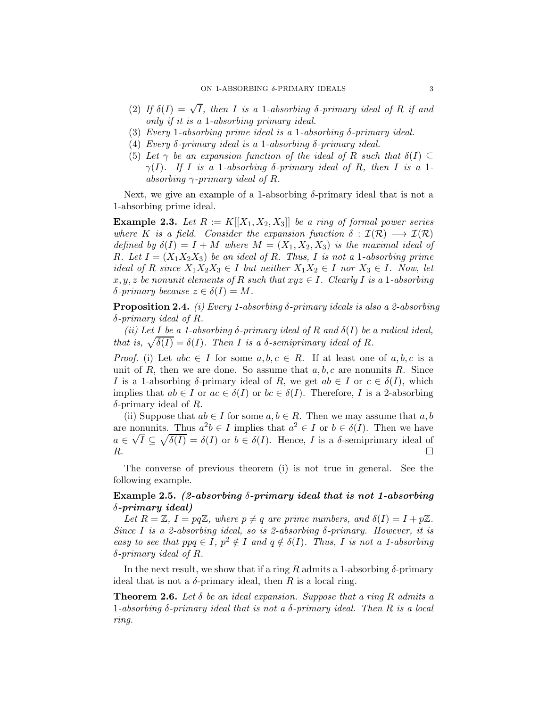- (2) *If*  $\delta(I) = \sqrt{I}$ , then *I* is a 1-absorbing  $\delta$ -primary ideal of *R* if and *only if it is a* 1*-absorbing primary ideal.*
- (3) *Every* 1*-absorbing prime ideal is a* 1*-absorbing* δ*-primary ideal.*
- (4) *Every* δ*-primary ideal is a* 1*-absorbing* δ*-primary ideal.*
- (5) Let  $\gamma$  be an expansion function of the ideal of R such that  $\delta(I) \subseteq$  $\gamma(I)$ *.* If I is a 1-absorbing  $\delta$ -primary ideal of R, then I is a 1*absorbing* γ*-primary ideal of* R*.*

Next, we give an example of a 1-absorbing  $\delta$ -primary ideal that is not a 1-absorbing prime ideal.

<span id="page-2-0"></span>**Example 2.3.** Let  $R := K[[X_1, X_2, X_3]]$  be a ring of formal power series *where* K *is a field.* Consider the expansion function  $\delta : \mathcal{I}(\mathcal{R}) \longrightarrow \mathcal{I}(\mathcal{R})$ *defined by*  $\delta(I) = I + M$  *where*  $M = (X_1, X_2, X_3)$  *is the maximal ideal of R. Let*  $I = (X_1 X_2 X_3)$  *be an ideal of R. Thus, I is not a* 1*-absorbing prime ideal of* R *since*  $X_1X_2X_3 \in I$  *but neither*  $X_1X_2 \in I$  *nor*  $X_3 \in I$ *. Now, let*  $x, y, z$  *be nonunit elements of* R *such that*  $xyz \in I$ *. Clearly* I *is a* 1*-absorbing*  $\delta$ *-primary because*  $z \in \delta(I) = M$ .

Proposition 2.4. *(i) Every 1-absorbing* δ*-primary ideals is also a 2-absorbing* δ*-primary ideal of* R*.*

*(ii) Let* I *be a 1-absorbing* δ*-primary ideal of* R *and* δ(I) *be a radical ideal, that is,*  $\sqrt{\delta(I)} = \delta(I)$ *. Then I is a*  $\delta$ *-semiprimary ideal of R.* 

*Proof.* (i) Let  $abc \in I$  for some  $a, b, c \in R$ . If at least one of  $a, b, c$  is a unit of R, then we are done. So assume that  $a, b, c$  are nonunits R. Since I is a 1-absorbing  $\delta$ -primary ideal of R, we get  $ab \in I$  or  $c \in \delta(I)$ , which implies that  $ab \in I$  or  $ac \in \delta(I)$  or  $bc \in \delta(I)$ . Therefore, I is a 2-absorbing  $\delta$ -primary ideal of R.

(ii) Suppose that  $ab \in I$  for some  $a, b \in R$ . Then we may assume that  $a, b$ are nonunits. Thus  $a^2b \in I$  implies that  $a^2 \in I$  or  $b \in \delta(I)$ . Then we have  $a \in \sqrt{I} \subseteq \sqrt{\delta(I)} = \delta(I)$  or  $b \in \delta(I)$ . Hence, I is a  $\delta$ -semiprimary ideal of  $R$ .

The converse of previous theorem (i) is not true in general. See the following example.

# Example 2.5. (2-absorbing  $\delta$ -primary ideal that is not 1-absorbing  $\delta$ -primary ideal)

Let  $R = \mathbb{Z}$ ,  $I = pq\mathbb{Z}$ , where  $p \neq q$  are prime numbers, and  $\delta(I) = I + p\mathbb{Z}$ . *Since* I *is a 2-absorbing ideal, so is 2-absorbing* δ*-primary. However, it is easy to see that*  $ppq \in I$ ,  $p^2 \notin I$  *and*  $q \notin \delta(I)$ *. Thus, I is not a 1-absorbing* δ*-primary ideal of* R*.*

In the next result, we show that if a ring R admits a 1-absorbing  $\delta$ -primary ideal that is not a  $\delta$ -primary ideal, then R is a local ring.

<span id="page-2-1"></span>**Theorem 2.6.** Let  $\delta$  be an ideal expansion. Suppose that a ring R admits a 1*-absorbing* δ*-primary ideal that is not a* δ*-primary ideal. Then* R *is a local ring.*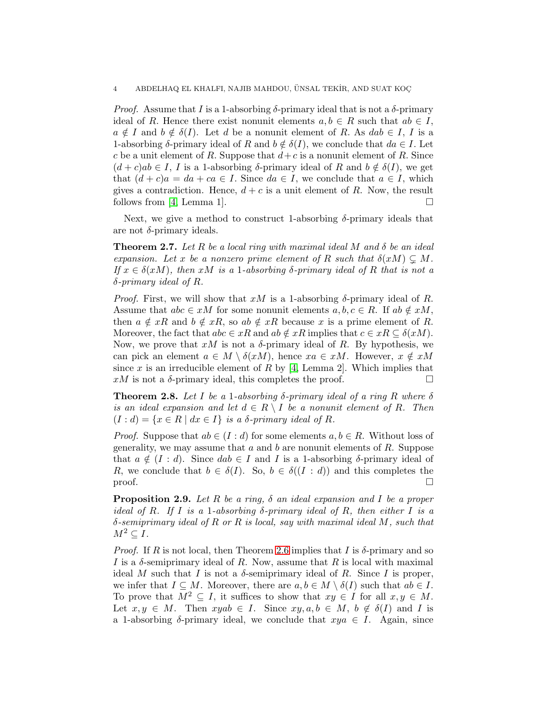*Proof.* Assume that I is a 1-absorbing  $\delta$ -primary ideal that is not a  $\delta$ -primary ideal of R. Hence there exist nonunit elements  $a, b \in R$  such that  $ab \in I$ ,  $a \notin I$  and  $b \notin \delta(I)$ . Let d be a nonunit element of R. As dab  $\in I$ , I is a 1-absorbing  $\delta$ -primary ideal of R and  $b \notin \delta(I)$ , we conclude that  $da \in I$ . Let c be a unit element of R. Suppose that  $d+c$  is a nonunit element of R. Since  $(d + c)ab \in I$ , I is a 1-absorbing  $\delta$ -primary ideal of R and  $b \notin \delta(I)$ , we get that  $(d + c)a = da + ca \in I$ . Since  $da \in I$ , we conclude that  $a \in I$ , which gives a contradiction. Hence,  $d + c$  is a unit element of R. Now, the result follows from [\[4,](#page-11-2) Lemma 1].  $\Box$ 

Next, we give a method to construct 1-absorbing  $\delta$ -primary ideals that are not  $\delta$ -primary ideals.

Theorem 2.7. *Let* R *be a local ring with maximal ideal* M *and* δ *be an ideal expansion.* Let x be a nonzero prime element of R such that  $\delta(xM) \subseteq M$ . *If*  $x \in \delta(xM)$ , then xM is a 1-absorbing  $\delta$ -primary ideal of R that is not a δ*-primary ideal of* R*.*

*Proof.* First, we will show that xM is a 1-absorbing  $\delta$ -primary ideal of R. Assume that  $abc \in xM$  for some nonunit elements  $a, b, c \in R$ . If  $ab \notin xM$ , then  $a \notin xR$  and  $b \notin xR$ , so  $ab \notin xR$  because x is a prime element of R. Moreover, the fact that  $abc \in xR$  and  $ab \notin xR$  implies that  $c \in xR \subseteq \delta(xM)$ . Now, we prove that  $xM$  is not a  $\delta$ -primary ideal of R. By hypothesis, we can pick an element  $a \in M \setminus \delta(xM)$ , hence  $xa \in xM$ . However,  $x \notin xM$ since  $x$  is an irreducible element of  $R$  by [\[4,](#page-11-2) Lemma 2]. Which implies that  $xM$  is not a  $\delta$ -primary ideal, this completes the proof.

**Theorem 2.8.** Let I be a 1-absorbing  $\delta$ -primary ideal of a ring R where  $\delta$ *is an ideal expansion and let*  $d \in R \setminus I$  *be a nonunit element of* R. Then  $(I : d) = \{x \in R \mid dx \in I\}$  *is a*  $\delta$ *-primary ideal of* R.

*Proof.* Suppose that  $ab \in (I : d)$  for some elements  $a, b \in R$ . Without loss of generality, we may assume that a and b are nonunit elements of  $R$ . Suppose that  $a \notin (I : d)$ . Since  $dab \in I$  and I is a 1-absorbing  $\delta$ -primary ideal of R, we conclude that  $b \in \delta(I)$ . So,  $b \in \delta((I : d))$  and this completes the proof.  $\Box$ 

<span id="page-3-0"></span>Proposition 2.9. *Let* R *be a ring,* δ *an ideal expansion and* I *be a proper ideal of* R*. If* I *is a* 1*-absorbing* δ*-primary ideal of* R*, then either* I *is a* δ*-semiprimary ideal of* R *or* R *is local, say with maximal ideal* M*, such that*  $M^2 \subset I$ .

*Proof.* If R is not local, then Theorem [2.6](#page-2-1) implies that I is  $\delta$ -primary and so I is a  $\delta$ -semiprimary ideal of R. Now, assume that R is local with maximal ideal M such that I is not a  $\delta$ -semiprimary ideal of R. Since I is proper, we infer that  $I \subseteq M$ . Moreover, there are  $a, b \in M \setminus \delta(I)$  such that  $ab \in I$ . To prove that  $M^2 \subseteq I$ , it suffices to show that  $xy \in I$  for all  $x, y \in M$ . Let  $x, y \in M$ . Then  $xyab \in I$ . Since  $xy, a, b \in M$ ,  $b \notin \delta(I)$  and I is a 1-absorbing  $\delta$ -primary ideal, we conclude that  $xya \in I$ . Again, since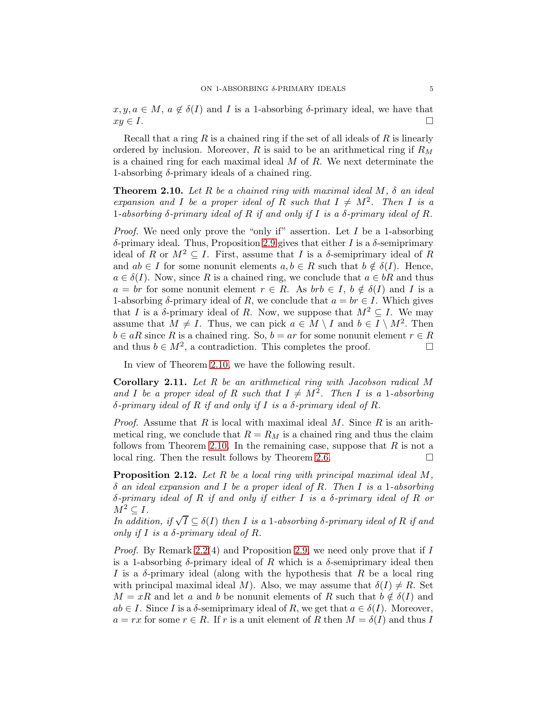$x, y, a \in M$ ,  $a \notin \delta(I)$  and  $I$  is a 1-absorbing  $\delta$ -primary ideal, we have that  $xy \in I$ .  $xy \in I$ .

Recall that a ring R is a chained ring if the set of all ideals of R is linearly ordered by inclusion. Moreover, R is said to be an arithmetical ring if  $R_M$ is a chained ring for each maximal ideal  $M$  of  $R$ . We next determinate the 1-absorbing  $\delta$ -primary ideals of a chained ring.

<span id="page-4-0"></span>Theorem 2.10. *Let* R *be a chained ring with maximal ideal* M*,* δ *an ideal expansion and* I *be a proper ideal of* R *such that*  $I \neq M^2$ . Then I is a 1*-absorbing* δ*-primary ideal of* R *if and only if* I *is a* δ*-primary ideal of* R*.*

*Proof.* We need only prove the "only if" assertion. Let I be a 1-absorbing δ-primary ideal. Thus, Proposition [2.9](#page-3-0) gives that either I is a δ-semiprimary ideal of R or  $M^2 \subseteq I$ . First, assume that I is a  $\delta$ -semiprimary ideal of R and  $ab \in I$  for some nonunit elements  $a, b \in R$  such that  $b \notin \delta(I)$ . Hence,  $a \in \delta(I)$ . Now, since R is a chained ring, we conclude that  $a \in bR$  and thus  $a = br$  for some nonunit element  $r \in R$ . As  $brb \in I$ ,  $b \notin \delta(I)$  and I is a 1-absorbing  $\delta$ -primary ideal of R, we conclude that  $a = br \in I$ . Which gives that I is a  $\delta$ -primary ideal of R. Now, we suppose that  $M^2 \subseteq I$ . We may assume that  $M \neq I$ . Thus, we can pick  $a \in M \setminus I$  and  $b \in I \setminus M^2$ . Then  $b \in aR$  since R is a chained ring. So,  $b = ar$  for some nonunit element  $r \in R$ <br>and thus  $b \in M^2$ , a contradiction. This completes the proof. and thus  $b \in M^2$ , a contradiction. This completes the proof.  $\Box$ 

In view of Theorem [2.10,](#page-4-0) we have the following result.

Corollary 2.11. *Let R be an arithmetical ring with Jacobson radical* M and *I* be a proper ideal of R such that  $I \neq M^2$ . Then *I* is a 1*-absorbing* δ*-primary ideal of* R *if and only if* I *is a* δ*-primary ideal of* R*.*

*Proof.* Assume that  $R$  is local with maximal ideal  $M$ . Since  $R$  is an arithmetical ring, we conclude that  $R = R_M$  is a chained ring and thus the claim follows from Theorem [2.10.](#page-4-0) In the remaining case, suppose that  $R$  is not a local ring. Then the result follows by Theorem [2.6.](#page-2-1)  $\Box$ 

Proposition 2.12. *Let* R *be a local ring with principal maximal ideal* M*,* δ *an ideal expansion and* I *be a proper ideal of* R*. Then* I *is a* 1*-absorbing* δ*-primary ideal of* R *if and only if either* I *is a* δ*-primary ideal of* R *or*  $M^2 \subseteq I$ .

*In addition, if*  $\sqrt{I} \subseteq \delta(I)$  *then I is a* 1*-absorbing*  $\delta$ *-primary ideal of*  $R$  *if and only if* I *is a* δ*-primary ideal of* R*.*

*Proof.* By Remark [2.2\(](#page-1-0)4) and Proposition [2.9,](#page-3-0) we need only prove that if I is a 1-absorbing  $\delta$ -primary ideal of R which is a  $\delta$ -semiprimary ideal then I is a  $\delta$ -primary ideal (along with the hypothesis that R be a local ring with principal maximal ideal M). Also, we may assume that  $\delta(I) \neq R$ . Set  $M = xR$  and let a and b be nonunit elements of R such that  $b \notin \delta(I)$  and  $ab \in I$ . Since I is a  $\delta$ -semiprimary ideal of R, we get that  $a \in \delta(I)$ . Moreover,  $a = rx$  for some  $r \in R$ . If r is a unit element of R then  $M = \delta(I)$  and thus I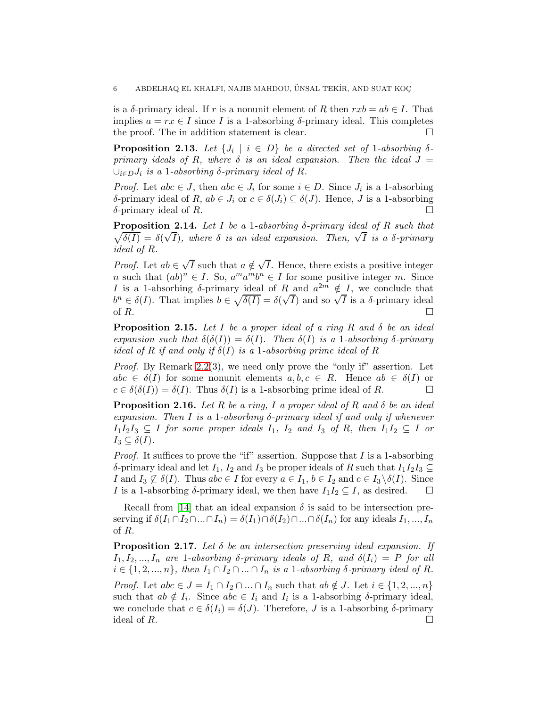is a  $\delta$ -primary ideal. If r is a nonunit element of R then  $rxb = ab \in I$ . That implies  $a = rx \in I$  since I is a 1-absorbing  $\delta$ -primary ideal. This completes the proof. The in addition statement is clear. the proof. The in addition statement is clear.

**Proposition 2.13.** Let  $\{J_i \mid i \in D\}$  be a directed set of 1-absorbing  $\delta$ *primary ideals of R, where*  $\delta$  *is an ideal expansion. Then the ideal*  $J =$  $∪<sub>i∈D</sub>J<sub>i</sub>$  *is a* 1-*absorbing*  $δ$ -*primary ideal of*  $R$ *.* 

*Proof.* Let  $abc \in J$ , then  $abc \in J_i$  for some  $i \in D$ . Since  $J_i$  is a 1-absorbing δ-primary ideal of R,  $ab \in J_i$  or  $c \in \delta(J_i) \subseteq \delta(J)$ . Hence, J is a 1-absorbing δ-primary ideal of R. δ-primary ideal of  $R$ .

Proposition 2.14. *Let* I *be a* 1*-absorbing* δ*-primary ideal of* R *such that*  $\sqrt{\delta(I)} = \delta(\sqrt{I})$ , where  $\delta$  *is an ideal expansion. Then,*  $\sqrt{I}$  *is a*  $\delta$ *-primary ideal of* R*.*

*Proof.* Let  $ab \in \sqrt{I}$  such that  $a \notin \sqrt{I}$ . Hence, there exists a positive integer n such that  $(ab)^n \in I$ . So,  $a^m a^m b^n \in I$  for some positive integer m. Since I is a 1-absorbing  $\delta$ -primary ideal of R and  $a^{2m} \notin I$ , we conclude that  $b^n \in \delta(I)$ . That implies  $b \in \sqrt{\delta(I)} = \delta(\sqrt{I})$  and so  $\sqrt{I}$  is a  $\delta$ -primary ideal of  $R$ .

Proposition 2.15. *Let* I *be a proper ideal of a ring* R *and* δ *be an ideal expansion such that*  $\delta(\delta(I)) = \delta(I)$ *. Then*  $\delta(I)$  *is a* 1*-absorbing*  $\delta$ *-primary ideal of* R *if and only if*  $\delta(I)$  *is a* 1*-absorbing prime ideal of* R

*Proof.* By Remark [2.2\(](#page-1-0)3), we need only prove the "only if" assertion. Let  $abc \in \delta(I)$  for some nonunit elements  $a, b, c \in R$ . Hence  $ab \in \delta(I)$  or  $c \in \delta(\delta(I)) = \delta(I)$ . Thus  $\delta(I)$  is a 1-absorbing prime ideal of R.  $c \in \delta(\delta(I)) = \delta(I)$ . Thus  $\delta(I)$  is a 1-absorbing prime ideal of R.

Proposition 2.16. *Let* R *be a ring,* I *a proper ideal of* R *and* δ *be an ideal expansion. Then* I *is a* 1*-absorbing* δ*-primary ideal if and only if whenever*  $I_1I_2I_3 \subseteq I$  *for some proper ideals*  $I_1$ *,*  $I_2$  *and*  $I_3$  *of*  $R$ *, then*  $I_1I_2 \subseteq I$  *or*  $I_3 \subseteq \delta(I)$ .

*Proof.* It suffices to prove the "if" assertion. Suppose that I is a 1-absorbing  $\delta$ -primary ideal and let  $I_1$ ,  $I_2$  and  $I_3$  be proper ideals of R such that  $I_1I_2I_3 \subseteq$ I and  $I_3 \nsubseteq \delta(I)$ . Thus abc ∈ I for every  $a \in I_1$ ,  $b \in I_2$  and  $c \in I_3 \setminus \delta(I)$ . Since I is a 1-absorbing  $\delta$ -primary ideal, we then have  $I_1I_2 \subseteq I$ , as desired.  $\square$ I is a 1-absorbing  $\delta$ -primary ideal, we then have  $I_1I_2 \subseteq I$ , as desired.

Recall from [\[14\]](#page-11-4) that an ideal expansion  $\delta$  is said to be intersection preserving if  $\delta(I_1 \cap I_2 \cap ... \cap I_n) = \delta(I_1) \cap \delta(I_2) \cap ... \cap \delta(I_n)$  for any ideals  $I_1, ..., I_n$ of R.

<span id="page-5-0"></span>Proposition 2.17. *Let* δ *be an intersection preserving ideal expansion. If*  $I_1, I_2, ..., I_n$  are 1-absorbing  $\delta$ -primary ideals of R, and  $\delta(I_i) = P$  for all  $i \in \{1, 2, ..., n\}$ , then  $I_1 \cap I_2 \cap ... \cap I_n$  *is a* 1-absorbing  $\delta$ -primary ideal of R.

*Proof.* Let  $abc \in J = I_1 \cap I_2 \cap ... \cap I_n$  such that  $ab \notin J$ . Let  $i \in \{1, 2, ..., n\}$ such that  $ab \notin I_i$ . Since  $abc \in I_i$  and  $I_i$  is a 1-absorbing  $\delta$ -primary ideal, we conclude that  $c \in \delta(I_i) = \delta(J)$ . Therefore, J is a 1-absorbing  $\delta$ -primary ideal of R. ideal of R.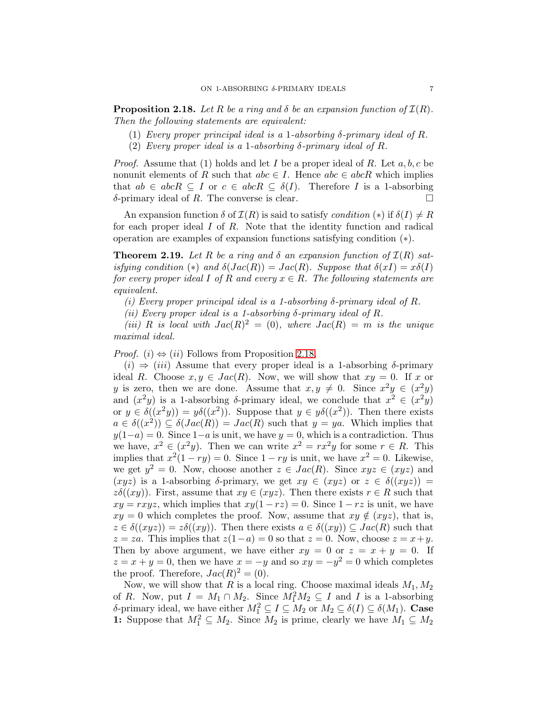<span id="page-6-0"></span>**Proposition 2.18.** Let R be a ring and  $\delta$  be an expansion function of  $\mathcal{I}(R)$ . *Then the following statements are equivalent:*

- (1) *Every proper principal ideal is a* 1*-absorbing* δ*-primary ideal of* R*.*
- (2) *Every proper ideal is a* 1-absorbing  $\delta$ -primary ideal of R.

*Proof.* Assume that (1) holds and let I be a proper ideal of R. Let  $a, b, c$  be nonunit elements of R such that  $abc \in I$ . Hence  $abc \in abcR$  which implies that  $ab \in abcR \subseteq I$  or  $c \in abcR \subseteq \delta(I)$ . Therefore I is a 1-absorbing  $\delta$ -primary ideal of R. The converse is clear.  $\delta$ -primary ideal of R. The converse is clear.

An expansion function  $\delta$  of  $\mathcal{I}(R)$  is said to satisfy *condition* (\*) if  $\delta(I) \neq R$ for each proper ideal  $I$  of  $R$ . Note that the identity function and radical operation are examples of expansion functions satisfying condition (∗).

<span id="page-6-1"></span>**Theorem 2.19.** Let R be a ring and  $\delta$  an expansion function of  $\mathcal{I}(R)$  sat*isfying condition* (\*) *and*  $\delta(Jac(R)) = Jac(R)$ *. Suppose that*  $\delta(xI) = x\delta(I)$ *for every proper ideal* I *of* R and every  $x \in R$ *. The following statements are equivalent.*

*(i) Every proper principal ideal is a 1-absorbing* δ*-primary ideal of* R*.*

*(ii)* Every proper ideal is a 1-absorbing  $\delta$ -primary ideal of R.

(*iii*) R *is local with*  $Jac(R)^2 = (0)$ *, where*  $Jac(R) = m$  *is the unique maximal ideal.*

*Proof.* (i)  $\Leftrightarrow$  (ii) Follows from Proposition [2.18.](#page-6-0)

 $(i) \Rightarrow (iii)$  Assume that every proper ideal is a 1-absorbing  $\delta$ -primary ideal R. Choose  $x, y \in Jac(R)$ . Now, we will show that  $xy = 0$ . If x or y is zero, then we are done. Assume that  $x, y \neq 0$ . Since  $x^2y \in (x^2y)$ and  $(x^2y)$  is a 1-absorbing  $\delta$ -primary ideal, we conclude that  $x^2 \in (x^2y)$ or  $y \in \delta((x^2y)) = y\delta((x^2))$ . Suppose that  $y \in y\delta((x^2))$ . Then there exists  $a \in \delta((x^2)) \subseteq \delta(Jac(R)) = Jac(R)$  such that  $y = ya$ . Which implies that  $y(1-a) = 0$ . Since  $1-a$  is unit, we have  $y = 0$ , which is a contradiction. Thus we have,  $x^2 \in (x^2y)$ . Then we can write  $x^2 = rx^2y$  for some  $r \in R$ . This implies that  $x^2(1 - ry) = 0$ . Since  $1 - ry$  is unit, we have  $x^2 = 0$ . Likewise, we get  $y^2 = 0$ . Now, choose another  $z \in Jac(R)$ . Since  $xyz \in (xyz)$  and  $(xyz)$  is a 1-absorbing δ-primary, we get  $xy \in (xyz)$  or  $z \in \delta((xyz))$  =  $z\delta((xy))$ . First, assume that  $xy \in (xyz)$ . Then there exists  $r \in R$  such that  $xy = rxyz$ , which implies that  $xy(1 - rz) = 0$ . Since  $1 - rz$  is unit, we have  $xy = 0$  which completes the proof. Now, assume that  $xy \notin (xyz)$ , that is,  $z \in \delta((xyz)) = z\delta((xy))$ . Then there exists  $a \in \delta((xy)) \subseteq Jac(R)$  such that  $z = za$ . This implies that  $z(1-a) = 0$  so that  $z = 0$ . Now, choose  $z = x+y$ . Then by above argument, we have either  $xy = 0$  or  $z = x + y = 0$ . If  $z = x + y = 0$ , then we have  $x = -y$  and so  $xy = -y^2 = 0$  which completes the proof. Therefore,  $Jac(R)^2 = (0)$ .

Now, we will show that R is a local ring. Choose maximal ideals  $M_1, M_2$ of R. Now, put  $I = M_1 \cap M_2$ . Since  $M_1^2 M_2 \subseteq I$  and I is a 1-absorbing δ-primary ideal, we have either  $M_1^2 \subseteq I \subseteq M_2$  or  $M_2 \subseteq \delta(I) \subseteq \delta(M_1)$ . Case **1:** Suppose that  $M_1^2 \subseteq M_2$ . Since  $M_2$  is prime, clearly we have  $M_1 \subseteq M_2$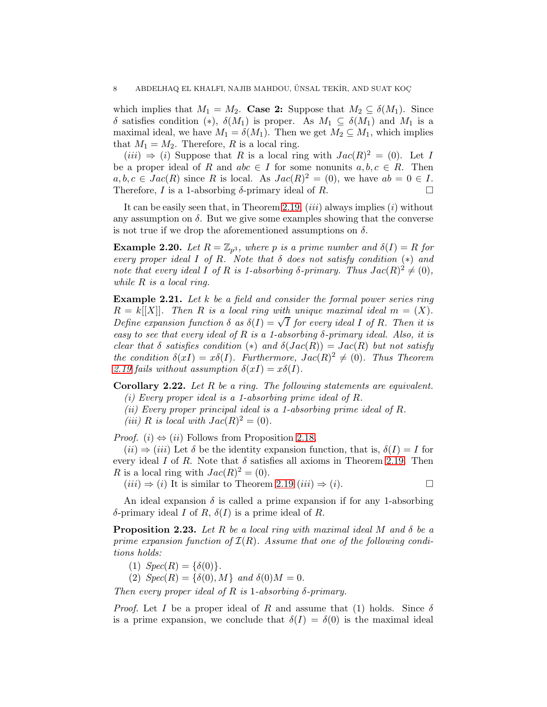which implies that  $M_1 = M_2$ . Case 2: Suppose that  $M_2 \subseteq \delta(M_1)$ . Since δ satisfies condition (\*),  $\delta(M_1)$  is proper. As  $M_1 \subseteq \delta(M_1)$  and  $M_1$  is a maximal ideal, we have  $M_1 = \delta(M_1)$ . Then we get  $M_2 \subseteq M_1$ , which implies that  $M_1 = M_2$ . Therefore, R is a local ring.

 $(iii) \Rightarrow (i)$  Suppose that R is a local ring with  $Jac(R)^2 = (0)$ . Let I be a proper ideal of R and  $abc \in I$  for some nonunits  $a, b, c \in R$ . Then  $a, b, c \in Jac(R)$  since R is local. As  $Jac(R)^2 = (0)$ , we have  $ab = 0 \in I$ . Therefore, I is a 1-absorbing  $\delta$ -primary ideal of R.

It can be easily seen that, in Theorem [2.19,](#page-6-1)  $(iii)$  always implies  $(i)$  without any assumption on  $\delta$ . But we give some examples showing that the converse is not true if we drop the aforementioned assumptions on  $\delta$ .

**Example 2.20.** Let  $R = \mathbb{Z}_{p^3}$ , where p is a prime number and  $\delta(I) = R$  for *every proper ideal* I *of* R*. Note that* δ *does not satisfy condition* (∗) *and note that every ideal I of R is 1-absorbing*  $\delta$ -*primary. Thus*  $Jac(R)^2 \neq (0)$ *, while* R *is a local ring.*

Example 2.21. *Let* k *be a field and consider the formal power series ring*  $R = k[|X|]$ *. Then* R is a local ring with unique maximal ideal  $m = (X)$ . *Define expansion function*  $\delta$  *as*  $\delta(I) = \sqrt{I}$  *for every ideal* I *of* R. Then it is *easy to see that every ideal of* R *is a 1-absorbing* δ*-primary ideal. Also, it is clear that*  $\delta$  *satisfies condition* (\*) *and*  $\delta(Jac(R)) = Jac(R)$  *but not satisfy the condition*  $\delta(xI) = x\delta(I)$ *. Furthermore,*  $Jac(R)^2 \neq (0)$ *. Thus Theorem* [2.19](#page-6-1) fails without assumption  $\delta(xI) = x\delta(I)$ .

Corollary 2.22. *Let* R *be a ring. The following statements are equivalent.*

*(i) Every proper ideal is a 1-absorbing prime ideal of* R*.*

*(ii) Every proper principal ideal is a 1-absorbing prime ideal of* R*.*

(*iii*) *R is local with*  $Jac(R)^2 = (0)$ *.* 

*Proof.* (i)  $\Leftrightarrow$  (ii) Follows from Proposition [2.18.](#page-6-0)

 $(ii) \Rightarrow (iii)$  Let  $\delta$  be the identity expansion function, that is,  $\delta(I) = I$  for every ideal I of R. Note that  $\delta$  satisfies all axioms in Theorem [2.19.](#page-6-1) Then R is a local ring with  $Jac(R)^2 = (0)$ .

 $(iii) \Rightarrow (i)$  It is similar to Theorem [2.19](#page-6-1)  $(iii) \Rightarrow (i)$ .

An ideal expansion  $\delta$  is called a prime expansion if for any 1-absorbing δ-primary ideal I of R,  $\delta(I)$  is a prime ideal of R.

Proposition 2.23. *Let* R *be a local ring with maximal ideal* M *and* δ *be a prime expansion function of*  $\mathcal{I}(R)$ *. Assume that one of the following conditions holds:*

(1)  $Spec(R) = \{\delta(0)\}.$ 

(2)  $Spec(R) = \{\delta(0), M\}$  *and*  $\delta(0)M = 0$ *.* 

*Then every proper ideal of*  $R$  *is* 1-absorbing  $\delta$ -primary.

*Proof.* Let I be a proper ideal of R and assume that (1) holds. Since  $\delta$ is a prime expansion, we conclude that  $\delta(I) = \delta(0)$  is the maximal ideal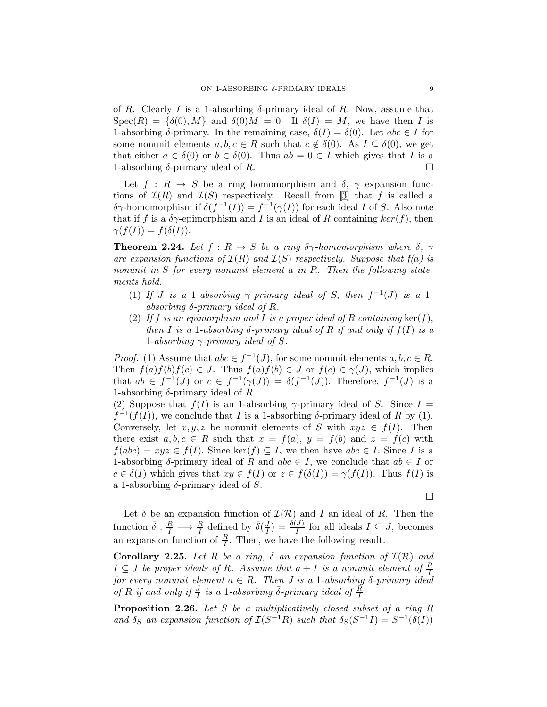of R. Clearly I is a 1-absorbing  $\delta$ -primary ideal of R. Now, assume that  $Spec(R) = \{\delta(0), M\}$  and  $\delta(0)M = 0$ . If  $\delta(I) = M$ , we have then I is 1-absorbing δ-primary. In the remaining case,  $\delta(I) = \delta(0)$ . Let  $abc \in I$  for some nonunit elements  $a, b, c \in R$  such that  $c \notin \delta(0)$ . As  $I \subseteq \delta(0)$ , we get that either  $a \in \delta(0)$  or  $b \in \delta(0)$ . Thus  $ab = 0 \in I$  which gives that I is a 1-absorbing  $\delta$ -primary ideal of R. 1-absorbing  $\delta$ -primary ideal of R.

Let  $f : R \to S$  be a ring homomorphism and  $\delta$ ,  $\gamma$  expansion functions of  $\mathcal{I}(R)$  and  $\mathcal{I}(S)$  respectively. Recall from [\[3\]](#page-11-5) that f is called a  $\delta \gamma$ -homomorphism if  $\delta(f^{-1}(I)) = f^{-1}(\gamma(I))$  for each ideal I of S. Also note that if f is a  $\delta \gamma$ -epimorphism and I is an ideal of R containing  $ker(f)$ , then  $\gamma(f(I)) = f(\delta(I)).$ 

**Theorem 2.24.** Let  $f : R \to S$  be a ring  $\delta \gamma$ -homomorphism where  $\delta$ ,  $\gamma$ *are expansion functions of*  $\mathcal{I}(R)$  *and*  $\mathcal{I}(S)$  *respectively. Suppose that*  $f(a)$  *is nonunit in* S *for every nonunit element* a *in* R*. Then the following statements hold.*

- (1) *If J is a* 1-absorbing  $\gamma$ -primary ideal of *S*, then  $f^{-1}(J)$  *is a* 1*absorbing* δ*-primary ideal of* R*.*
- (2) If f is an epimorphism and I is a proper ideal of R containing  $\ker(f)$ , *then* I *is a* 1-absorbing  $\delta$ -primary ideal of R if and only if  $f(I)$  is a 1*-absorbing* γ*-primary ideal of* S*.*

*Proof.* (1) Assume that  $abc \in f^{-1}(J)$ , for some nonunit elements  $a, b, c \in R$ . Then  $f(a)f(b)f(c) \in J$ . Thus  $f(a)f(b) \in J$  or  $f(c) \in \gamma(J)$ , which implies that  $ab \in f^{-1}(J)$  or  $c \in f^{-1}(\gamma(J)) = \delta(f^{-1}(J))$ . Therefore,  $f^{-1}(J)$  is a 1-absorbing  $\delta$ -primary ideal of R.

(2) Suppose that  $f(I)$  is an 1-absorbing  $\gamma$ -primary ideal of S. Since  $I =$  $f^{-1}(f(I))$ , we conclude that I is a 1-absorbing  $\delta$ -primary ideal of R by (1). Conversely, let  $x, y, z$  be nonunit elements of S with  $xyz \in f(I)$ . Then there exist  $a, b, c \in R$  such that  $x = f(a), y = f(b)$  and  $z = f(c)$  with  $f(abc) = xyz \in f(I)$ . Since ker(f)  $\subseteq I$ , we then have  $abc \in I$ . Since I is a 1-absorbing  $\delta$ -primary ideal of R and abc  $\in I$ , we conclude that  $ab \in I$  or  $c \in \delta(I)$  which gives that  $xy \in f(I)$  or  $z \in f(\delta(I)) = \gamma(f(I))$ . Thus  $f(I)$  is a 1-absorbing  $\delta$ -primary ideal of S.

 $\Box$ 

Let  $\delta$  be an expansion function of  $\mathcal{I}(\mathcal{R})$  and I an ideal of R. Then the function  $\bar{\delta}: \frac{R}{I} \longrightarrow \frac{R}{I}$  defined by  $\bar{\delta}(\frac{J}{I})$  $\frac{J}{I}$ ) =  $\frac{\delta(J)}{I}$  for all ideals  $I \subseteq J$ , becomes an expansion function of  $\frac{R}{I}$ . Then, we have the following result.

**Corollary 2.25.** Let R be a ring,  $\delta$  an expansion function of  $\mathcal{I}(\mathcal{R})$  and  $I \subseteq J$  *be proper ideals of R. Assume that*  $a + I$  *is a nonunit element of*  $\frac{R}{I}$ *for every nonunit element*  $a \in R$ *. Then J* is a 1-absorbing  $\delta$ -primary ideal *of*  $R$  *if and only if*  $\frac{J}{I}$  *is a* 1*-absorbing*  $\bar{\delta}$ *-primary ideal of*  $\frac{\bar{R}}{I}$ *.* 

Proposition 2.26. *Let* S *be a multiplicatively closed subset of a ring* R and  $\delta_S$  an expansion function of  $\mathcal{I}(S^{-1}R)$  such that  $\delta_S(S^{-1}I) = S^{-1}(\delta(I))$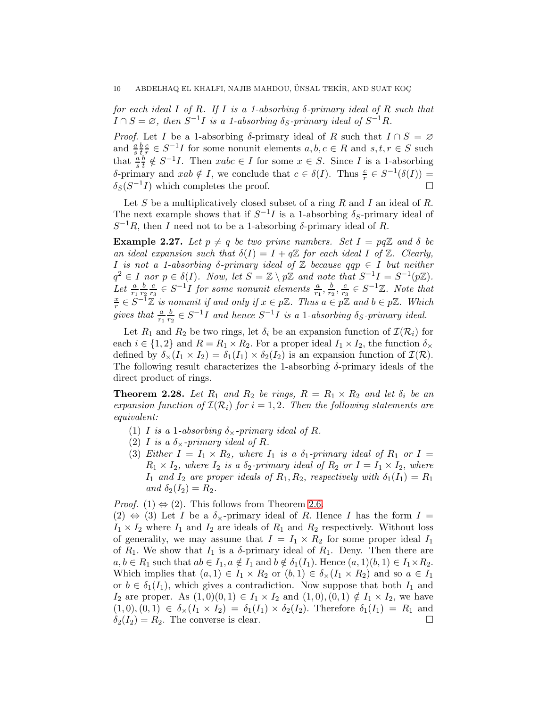*for each ideal* I *of* R*. If* I *is a 1-absorbing* δ*-primary ideal of* R *such that*  $I \cap S = \emptyset$ , then  $S^{-1}I$  is a 1-absorbing  $\delta_S$ -primary ideal of  $S^{-1}R$ .

*Proof.* Let I be a 1-absorbing  $\delta$ -primary ideal of R such that  $I \cap S = \emptyset$ and  $\frac{a}{s}$ b t c  $\frac{c}{r} \in S^{-1}I$  for some nonunit elements  $a, b, c \in R$  and  $s, t, r \in S$  such that  $\frac{a}{s}$ b  $\frac{b}{t} \notin S^{-1}I$ . Then  $xabc \in I$  for some  $x \in S$ . Since I is a 1-absorbing δ-primary and  $xab \notin I$ , we conclude that  $c \in \delta(I)$ . Thus  $\frac{c}{r} \in S^{-1}(\delta(I)) =$  $\delta_S(S^{-1}I)$  which completes the proof.

Let  $S$  be a multiplicatively closed subset of a ring  $R$  and  $I$  an ideal of  $R$ . The next example shows that if  $S^{-1}I$  is a 1-absorbing  $\delta_S$ -primary ideal of  $S^{-1}R$ , then I need not to be a 1-absorbing  $\delta$ -primary ideal of R.

**Example 2.27.** Let  $p \neq q$  be two prime numbers. Set  $I = pq\mathbb{Z}$  and  $\delta$  be *an ideal expansion such that*  $\delta(I) = I + q\mathbb{Z}$  *for each ideal* I of  $\mathbb{Z}$ *. Clearly,* I is not a 1-absorbing  $\delta$ -primary ideal of  $\mathbb Z$  because  $qqp \in I$  but neither  $q^2 \in I$  *nor*  $p \in \delta(I)$ *. Now, let*  $S = \mathbb{Z} \setminus p\mathbb{Z}$  *and note that*  $S^{-1}I = S^{-1}(p\mathbb{Z})$ *.* Let  $\frac{a}{r_1}$ b  $r<sub>2</sub>$ c  $\frac{c}{r_3} \in S^{-1}I$  for some nonunit elements  $\frac{a}{r_1}, \frac{b}{r_2}$  $\frac{b}{r_2}, \frac{c}{r_3}$  $\frac{c}{r_3} \in S^{-1}\mathbb{Z}$ . Note that  $\boldsymbol{x}$  $\frac{x}{r} \in S^{-1}\mathbb{Z}$  is nonunit if and only if  $x \in p\mathbb{Z}$ . Thus  $a \in p\mathbb{Z}$  and  $b \in p\mathbb{Z}$ . Which gives that  $\frac{a}{r_1}$ b  $\frac{b}{r_2} \in S^{-1}I$  and hence  $S^{-1}I$  is a 1-absorbing  $\delta_S$ -primary ideal.

Let  $R_1$  and  $R_2$  be two rings, let  $\delta_i$  be an expansion function of  $\mathcal{I}(\mathcal{R}_i)$  for each  $i \in \{1,2\}$  and  $R = R_1 \times R_2$ . For a proper ideal  $I_1 \times I_2$ , the function  $\delta_{\times}$ defined by  $\delta_{\times}(I_1 \times I_2) = \delta_1(I_1) \times \delta_2(I_2)$  is an expansion function of  $\mathcal{I}(\mathcal{R})$ . The following result characterizes the 1-absorbing  $\delta$ -primary ideals of the direct product of rings.

<span id="page-9-0"></span>**Theorem 2.28.** Let  $R_1$  and  $R_2$  be rings,  $R = R_1 \times R_2$  and let  $\delta_i$  be an *expansion function of*  $\mathcal{I}(\mathcal{R}_i)$  *for*  $i = 1, 2$ *. Then the following statements are equivalent:*

- (1) *I* is a 1-absorbing  $\delta_{\times}$ -primary ideal of R.
- (2) *I* is a  $\delta_{\times}$ -primary ideal of R.
- (3) *Either*  $I = I_1 \times R_2$ *, where*  $I_1$  *is a*  $\delta_1$ *-primary ideal of*  $R_1$  *or*  $I =$  $R_1 \times I_2$ , where  $I_2$  *is a*  $\delta_2$ -primary ideal of  $R_2$  or  $I = I_1 \times I_2$ , where  $I_1$  *and*  $I_2$  *are proper ideals of*  $R_1, R_2$ *, respectively with*  $\delta_1(I_1) = R_1$ *and*  $\delta_2(I_2) = R_2$ *.*

*Proof.* (1)  $\Leftrightarrow$  (2). This follows from Theorem [2.6.](#page-2-1)

 $(2) \Leftrightarrow (3)$  Let I be a  $\delta_{\times}$ -primary ideal of R. Hence I has the form  $I =$  $I_1 \times I_2$  where  $I_1$  and  $I_2$  are ideals of  $R_1$  and  $R_2$  respectively. Without loss of generality, we may assume that  $I = I_1 \times R_2$  for some proper ideal  $I_1$ of  $R_1$ . We show that  $I_1$  is a  $\delta$ -primary ideal of  $R_1$ . Deny. Then there are  $a, b \in R_1$  such that  $ab \in I_1, a \notin I_1$  and  $b \notin \delta_1(I_1)$ . Hence  $(a, 1)(b, 1) \in I_1 \times R_2$ . Which implies that  $(a, 1) \in I_1 \times R_2$  or  $(b, 1) \in \delta_{\times}(I_1 \times R_2)$  and so  $a \in I_1$ or  $b \in \delta_1(I_1)$ , which gives a contradiction. Now suppose that both  $I_1$  and I<sub>2</sub> are proper. As  $(1,0)(0,1) \in I_1 \times I_2$  and  $(1,0),(0,1) \notin I_1 \times I_2$ , we have  $(1,0), (0,1) \in \delta_{\times}(I_1 \times I_2) = \delta_1(I_1) \times \delta_2(I_2)$ . Therefore  $\delta_1(I_1) = R_1$  and  $\delta_2(I_2) = R_2$ . The converse is clear.  $\delta_2(I_2) = R_2$ . The converse is clear.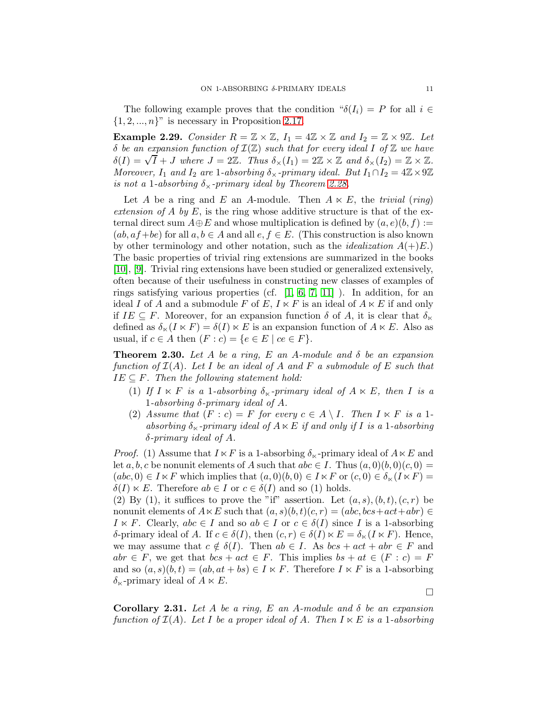The following example proves that the condition " $\delta(I_i) = P$  for all  $i \in$  $\{1, 2, ..., n\}$ " is necessary in Proposition [2.17.](#page-5-0)

**Example 2.29.** *Consider*  $R = \mathbb{Z} \times \mathbb{Z}$ ,  $I_1 = 4\mathbb{Z} \times \mathbb{Z}$  and  $I_2 = \mathbb{Z} \times 9\mathbb{Z}$ . Let δ *be an expansion function of* I(Z) *such that for every ideal* I *of* Z *we have*  $\delta(I) = \sqrt{I} + J$  where  $J = 2\mathbb{Z}$ . Thus  $\delta_{\times}(I_1) = 2\mathbb{Z} \times \mathbb{Z}$  and  $\delta_{\times}(I_2) = \mathbb{Z} \times \mathbb{Z}$ . *Moreover,*  $I_1$  *and*  $I_2$  *are* 1*-absorbing*  $\delta_{\times}$ *-primary ideal. But*  $I_1 \cap I_2 = 4\mathbb{Z} \times 9\mathbb{Z}$ *is not a* 1*-absorbing*  $\delta_{\times}$ *-primary ideal by Theorem [2.28.](#page-9-0)* 

Let A be a ring and E an A-module. Then  $A \ltimes E$ , the *trivial* (*ring*) *extension of*  $\overline{A}$  *by*  $\overline{E}$ , is the ring whose additive structure is that of the external direct sum  $A \oplus E$  and whose multiplication is defined by  $(a, e)(b, f) :=$  $(ab, af+be)$  for all  $a, b \in A$  and all  $e, f \in E$ . (This construction is also known by other terminology and other notation, such as the *idealization*  $A(+)E$ .) The basic properties of trivial ring extensions are summarized in the books [\[10\]](#page-11-7), [\[9\]](#page-11-8). Trivial ring extensions have been studied or generalized extensively, often because of their usefulness in constructing new classes of examples of rings satisfying various properties (cf.  $[1, 6, 7, 11]$  $[1, 6, 7, 11]$  $[1, 6, 7, 11]$  $[1, 6, 7, 11]$ ). In addition, for an ideal I of A and a submodule F of E,  $I \ltimes F$  is an ideal of  $A \ltimes E$  if and only if  $IE \subseteq F$ . Moreover, for an expansion function  $\delta$  of A, it is clear that  $\delta_{\kappa}$ defined as  $\delta_{\kappa}(I \ltimes F) = \delta(I) \ltimes E$  is an expansion function of  $A \ltimes E$ . Also as usual, if  $c \in A$  then  $(F : c) = \{e \in E \mid ce \in F\}.$ 

Theorem 2.30. *Let* A *be a ring,* E *an* A*-module and* δ *be an expansion function of* I(A)*. Let* I *be an ideal of* A *and* F *a submodule of* E *such that*  $IE \subseteq F$ . Then the following statement hold:

- (1) If  $I \ltimes F$  *is a* 1*-absorbing*  $\delta_{\lt}$ -primary ideal of  $A \ltimes E$ , then I is a 1*-absorbing* δ*-primary ideal of* A*.*
- (2) Assume that  $(F : c) = F$  for every  $c \in A \setminus I$ . Then  $I \ltimes F$  is a 1absorbing  $\delta_{\kappa}$ -primary ideal of  $A \kappa E$  *if and only if* I *is a* 1-absorbing δ*-primary ideal of* A*.*

*Proof.* (1) Assume that  $I \ltimes F$  is a 1-absorbing  $\delta_{\lt}$ -primary ideal of  $A \ltimes E$  and let a, b, c be nonunit elements of A such that  $abc \in I$ . Thus  $(a, 0)(b, 0)(c, 0) =$  $(abc, 0) \in I \ltimes F$  which implies that  $(a, 0)(b, 0) \in I \ltimes F$  or  $(c, 0) \in \delta_{\ltimes}(I \ltimes F)$  $\delta(I) \ltimes E$ . Therefore  $ab \in I$  or  $c \in \delta(I)$  and so (1) holds.

(2) By (1), it suffices to prove the "if" assertion. Let  $(a, s), (b, t), (c, r)$  be nonunit elements of  $A \ltimes E$  such that  $(a, s)(b, t)(c, r) = (abc, bcs + act + abr) \in$  $I \ltimes F$ . Clearly,  $abc \in I$  and so  $ab \in I$  or  $c \in \delta(I)$  since I is a 1-absorbing δ-primary ideal of A. If  $c \in \delta(I)$ , then  $(c, r) \in \delta(I) \ltimes E = \delta_{\ltimes}(I \ltimes F)$ . Hence, we may assume that  $c \notin \delta(I)$ . Then  $ab \in I$ . As  $bcs + act + abr \in F$  and  $abr \in F$ , we get that  $bcs + act \in F$ . This implies  $bs + at \in (F : c) = F$ and so  $(a, s)(b, t) = (ab, at + bs) \in I \ltimes F$ . Therefore  $I \ltimes F$  is a 1-absorbing  $\delta_{\kappa}$ -primary ideal of  $A \kappa E$ .

Corollary 2.31. *Let* A *be a ring,* E *an* A*-module and* δ *be an expansion function of*  $\mathcal{I}(A)$ *. Let* I *be a proper ideal of* A*. Then*  $I \ltimes E$  *is a* 1*-absorbing* 

 $\Box$